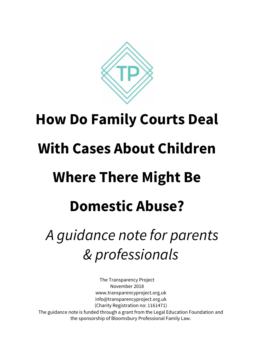

# **How Do Family Courts Deal With Cases About Children Where There Might Be Domestic Abuse?**  *A guidance note for parents & professionals*

The Transparency Project November 2018 www.transparencyproject.org.uk info@transparencyproject.org.uk (Charity Registration no: 1161471) The guidance note is funded through a grant from the Legal Education Foundation and the sponsorship of Bloomsbury Professional Family Law.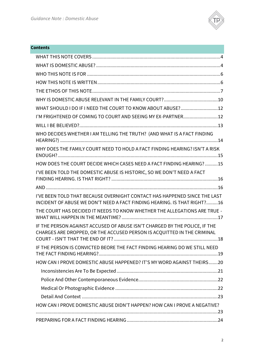

| <b>Contents</b>                                                                                                                                       |
|-------------------------------------------------------------------------------------------------------------------------------------------------------|
|                                                                                                                                                       |
|                                                                                                                                                       |
|                                                                                                                                                       |
|                                                                                                                                                       |
|                                                                                                                                                       |
|                                                                                                                                                       |
| WHAT SHOULD I DO IF I NEED THE COURT TO KNOW ABOUT ABUSE?12                                                                                           |
| I'M FRIGHTENED OF COMING TO COURT AND SEEING MY EX-PARTNER 12                                                                                         |
|                                                                                                                                                       |
| WHO DECIDES WHETHER I AM TELLING THE TRUTH? (AND WHAT IS A FACT FINDING                                                                               |
| WHY DOES THE FAMILY COURT NEED TO HOLD A FACT FINDING HEARING? ISN'T A RISK                                                                           |
| HOW DOES THE COURT DECIDE WHICH CASES NEED A FACT FINDING HEARING? 15                                                                                 |
| I'VE BEEN TOLD THE DOMESTIC ABUSE IS HISTORIC, SO WE DON'T NEED A FACT                                                                                |
|                                                                                                                                                       |
| I'VE BEEN TOLD THAT BECAUSE OVERNIGHT CONTACT HAS HAPPENED SINCE THE LAST<br>INCIDENT OF ABUSE WE DON'T NEED A FACT FINDING HEARING. IS THAT RIGHT?16 |
| THE COURT HAS DECIDED IT NEEDS TO KNOW WHETHER THE ALLEGATIONS ARE TRUE -                                                                             |
| IF THE PERSON AGAINST ACCUSED OF ABUSE ISN'T CHARGED BY THE POLICE, IF THE<br>CHARGES ARE DROPPED, OR THE ACCUSED PERSON IS ACQUITTED IN THE CRIMINAL |
| IF THE PERSON IS CONVICTED BEORE THE FACT FINDING HEARING DO WE STILL NEED                                                                            |
| HOW CAN I PROVE DOMESTIC ABUSE HAPPENED? IT'S MY WORD AGAINST THEIRS20                                                                                |
|                                                                                                                                                       |
|                                                                                                                                                       |
|                                                                                                                                                       |
|                                                                                                                                                       |
| HOW CAN I PROVE DOMESTIC ABUSE DIDN'T HAPPEN? HOW CAN I PROVE A NEGATIVE?                                                                             |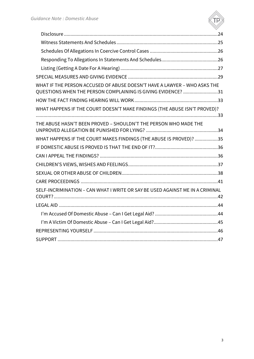

| WHAT IF THE PERSON ACCUSED OF ABUSE DOESN'T HAVE A LAWYER - WHO ASKS THE<br>QUESTIONS WHEN THE PERSON COMPLAINING IS GIVING EVIDENCE? 31 |  |
|------------------------------------------------------------------------------------------------------------------------------------------|--|
|                                                                                                                                          |  |
| WHAT HAPPENS IF THE COURT DOESN'T MAKE FINDINGS (THE ABUSE ISN'T PROVED)?                                                                |  |
| THE ABUSE HASN'T BEEN PROVED - SHOULDN'T THE PERSON WHO MADE THE                                                                         |  |
| WHAT HAPPENS IF THE COURT MAKES FINDINGS (THE ABUSE IS PROVED)? 35                                                                       |  |
|                                                                                                                                          |  |
|                                                                                                                                          |  |
|                                                                                                                                          |  |
|                                                                                                                                          |  |
|                                                                                                                                          |  |
| SELF-INCRIMINATION - CAN WHAT I WRITE OR SAY BE USED AGAINST ME IN A CRIMINAL                                                            |  |
|                                                                                                                                          |  |
|                                                                                                                                          |  |
|                                                                                                                                          |  |
|                                                                                                                                          |  |
|                                                                                                                                          |  |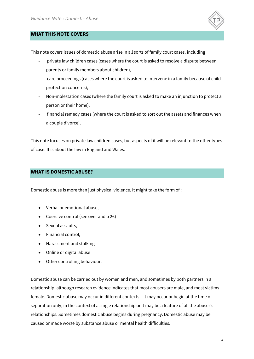

## <span id="page-3-0"></span>**WHAT THIS NOTE COVERS**

This note covers issues of domestic abuse arise in all sorts of family court cases, including

- private law children cases (cases where the court is asked to resolve a dispute between parents or family members about children),
- care proceedings (cases where the court is asked to intervene in a family because of child protection concerns),
- Non-molestation cases (where the family court is asked to make an injunction to protect a person or their home),
- financial remedy cases (where the court is asked to sort out the assets and finances when a couple divorce).

This note focuses on private law children cases, but aspects of it will be relevant to the other types of case. It is about the law in England and Wales.

#### <span id="page-3-1"></span>**WHAT IS DOMESTIC ABUSE?**

Domestic abuse is more than just physical violence. It might take the form of :

- Verbal or emotional abuse,
- Coercive control (see over and p 26)
- Sexual assaults,
- Financial control,
- Harassment and stalking
- Online or digital abuse
- Other controlling behaviour.

Domestic abuse can be carried out by women and men, and sometimes by both partners in a relationship, although research evidence indicates that most abusers are male, and most victims female. Domestic abuse may occur in different contexts – it may occur or begin at the time of separation only, in the context of a single relationship or it may be a feature of all the abuser's relationships. Sometimes domestic abuse begins during pregnancy. Domestic abuse may be caused or made worse by substance abuse or mental health difficulties.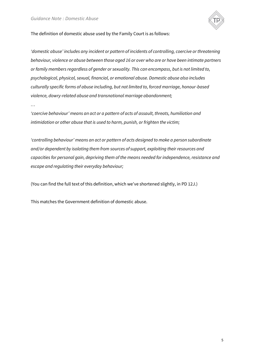

The definition of domestic abuse used by the Family Court is as follows:

*'domestic abuse' includes any incident or pattern of incidents of controlling, coercive or threatening behaviour, violence or abuse between those aged 16 or over who are or have been intimate partners or family members regardless of gender or sexuality. This can encompass, but is not limited to, psychological, physical, sexual, financial, or emotional abuse. Domestic abuse also includes culturally specific forms of abuse including, but not limited to, forced marriage, honour-based violence, dowry-related abuse and transnational marriage abandonment;* 

*…*

*'coercive behaviour' means an act or a pattern of acts of assault, threats, humiliation and intimidation or other abuse that is used to harm, punish, or frighten the victim;* 

*'controlling behaviour' means an act or pattern of acts designed to make a person subordinate and/or dependent by isolating them from sources of support, exploiting their resources and capacities for personal gain, depriving them of the means needed for independence, resistance and escape and regulating their everyday behaviour;* 

(You can find the full text of this definition, which we've shortened slightly, in PD 12J.)

This matches the Government definition of domestic abuse.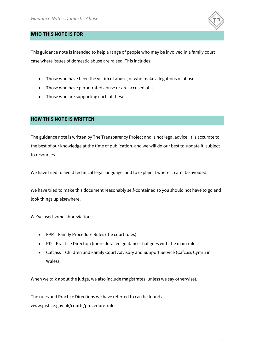

## <span id="page-5-0"></span>**WHO THIS NOTE IS FOR**

This guidance note is intended to help a range of people who may be involved in a family court case where issues of domestic abuse are raised. This includes:

- Those who have been the victim of abuse, or who make allegations of abuse
- Those who have perpetrated abuse or are accused of it
- Those who are supporting each of these

# <span id="page-5-1"></span>**HOW THIS NOTE IS WRITTEN**

The guidance note is written by The Transparency Project and is not legal advice. It is accurate to the best of our knowledge at the time of publication, and we will do our best to update it, subject to resources.

We have tried to avoid technical legal language, and to explain it where it can't be avoided.

We have tried to make this document reasonably self-contained so you should not have to go and look things up elsewhere.

We've used some abbreviations:

- FPR = Family Procedure Rules (the court rules)
- PD = Practice Direction (more detailed guidance that goes with the main rules)
- Cafcass = Children and Family Court Advisory and Support Service (Cafcass Cymru in Wales)

When we talk about the judge, we also include magistrates (unless we say otherwise).

The rules and Practice Directions we have referred to can be found at www.justice.gov.uk/courts/procedure-rules.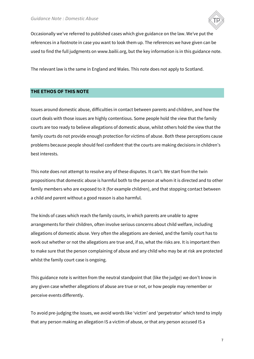

Occasionally we've referred to published cases which give guidance on the law. We've put the references in a footnote in case you want to look them up. The references we have given can be used to find the full judgments on www.bailii.org, but the key information is in this guidance note.

The relevant law is the same in England and Wales. This note does not apply to Scotland.

# <span id="page-6-0"></span>**THE ETHOS OF THIS NOTE**

Issues around domestic abuse, difficulties in contact between parents and children, and how the court deals with those issues are highly contentious. Some people hold the view that the family courts are too ready to believe allegations of domestic abuse, whilst others hold the view that the family courts do not provide enough protection for victims of abuse. Both these perceptions cause problems because people should feel confident that the courts are making decisions in children's best interests.

This note does not attempt to resolve any of these disputes. It can't. We start from the twin propositions that domestic abuse is harmful both to the person at whom it is directed and to other family members who are exposed to it (for example children), and that stopping contact between a child and parent without a good reason is also harmful.

The kinds of cases which reach the family courts, in which parents are unable to agree arrangements for their children, often involve serious concerns about child welfare, including allegations of domestic abuse. Very often the allegations are denied, and the family court has to work out whether or not the allegations are true and, if so, what the risks are. It is important then to make sure that the person complaining of abuse and any child who may be at risk are protected whilst the family court case is ongoing.

This guidance note is written from the neutral standpoint that (like the judge) we don't know in any given case whether allegations of abuse are true or not, or how people may remember or perceive events differently.

To avoid pre-judging the issues, we avoid words like 'victim' and 'perpetrator' which tend to imply that any person making an allegation IS a victim of abuse, or that any person accused IS a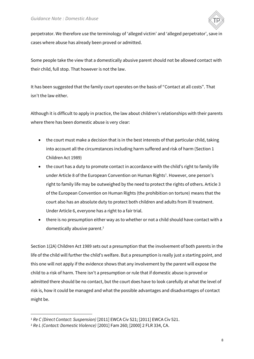

perpetrator. We therefore use the terminology of 'alleged victim' and 'alleged perpetrator', save in cases where abuse has already been proved or admitted.

Some people take the view that a domestically abusive parent should not be allowed contact with their child, full stop. That however is not the law.

It has been suggested that the family court operates on the basis of "Contact at all costs". That isn't the law either.

Although it is difficult to apply in practice, the law about children's relationships with their parents where there has been domestic abuse is very clear:

- the court must make a decision that is in the best interests of that particular child, taking into account all the circumstances including harm suffered and risk of harm (Section 1 Children Act 1989)
- the court has a duty to promote contact in accordance with the child's right to family life under Article 8 of the European Convention on Human Rights<sup>1</sup>. However, one person's right to family life may be outweighed by the need to protect the rights of others. Article 3 of the European Convention on Human Rights (the prohibition on torture) means that the court also has an absolute duty to protect both children and adults from ill treatment. Under Article 6, everyone has a right to a fair trial.
- there is no presumption either way as to whether or not a child should have contact with a domestically abusive parent.<sup>2</sup>

Section 1(2A) Children Act 1989 sets out a presumption that the involvement of both parents in the life of the child will further the child's welfare. But a presumption is really just a starting point, and this one will not apply if the evidence shows that any involvement by the parent will expose the child to a risk of harm. There isn't a presumption or rule that if domestic abuse is proved or admitted there should be no contact, but the court does have to look carefully at what the level of risk is, how it could be managed and what the possible advantages and disadvantages of contact might be.

 $\overline{a}$ 

<sup>1</sup> *Re C (Direct Contact: Suspension)* [2011] EWCA Civ 521; [2011] EWCA Civ 521.

<sup>2</sup> *Re L (Contact: Domestic Violence)* [2001] Fam 260; [2000] 2 FLR 334, CA.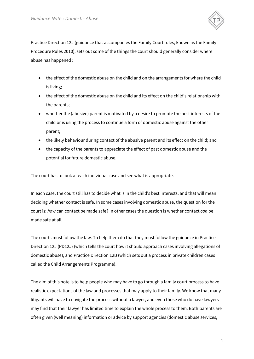

Practice Direction 12J (guidance that accompanies the Family Court rules, known as the Family Procedure Rules 2010), sets out some of the things the court should generally consider where abuse has happened :

- the effect of the domestic abuse on the child and on the arrangements for where the child is living;
- the effect of the domestic abuse on the child and its effect on the child's relationship with the parents;
- whether the (abusive) parent is motivated by a desire to promote the best interests of the child or is using the process to continue a form of domestic abuse against the other parent;
- the likely behaviour during contact of the abusive parent and its effect on the child; and
- the capacity of the parents to appreciate the effect of past domestic abuse and the potential for future domestic abuse.

The court has to look at each individual case and see what is appropriate.

In each case, the court still has to decide what is in the child's best interests, and that will mean deciding whether contact is safe. In some cases involving domestic abuse, the question for the court is: *how* can contact be made safe? In other cases the question is whether contact *can* be made safe at all.

The courts must follow the law. To help them do that they must follow the guidance in Practice Direction 12J (PD12J) (which tells the court how it should approach cases involving allegations of domestic abuse), and Practice Direction 12B (which sets out a process in private children cases called the Child Arrangements Programme).

The aim of this note is to help people who may have to go through a family court process to have realistic expectations of the law and processes that may apply to their family. We know that many litigants will have to navigate the process without a lawyer, and even those who do have lawyers may find that their lawyer has limited time to explain the whole process to them. Both parents are often given (well meaning) information or advice by support agencies (domestic abuse services,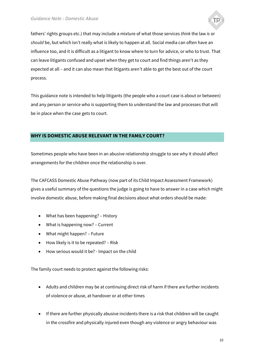

fathers' rights groups etc.) that may include a mixture of what those services *think* the law *is* or *should* be, but which isn't really what is likely to happen at all. Social media can often have an influence too, and it is difficult as a litigant to know where to turn for advice, or who to trust. That can leave litigants confused and upset when they get to court and find things aren't as they expected at all – and it can also mean that litigants aren't able to get the best out of the court process.

This guidance note is intended to help litigants (the people who a court case is about or between) and any person or service who is supporting them to understand the law and processes that will be in place when the case gets to court.

## <span id="page-9-0"></span>**WHY IS DOMESTIC ABUSE RELEVANT IN THE FAMILY COURT?**

Sometimes people who have been in an abusive relationship struggle to see why it should affect arrangements for the children once the relationship is over.

The CAFCASS Domestic Abuse Pathway (now part of its Child Impact Assessment Framework) gives a useful summary of the questions the judge is going to have to answer in a case which might involve domestic abuse, before making final decisions about what orders should be made:

- What has been happening? History
- What is happening now? Current
- What might happen? Future
- How likely is it to be repeated? Risk
- How serious would it be? Impact on the child

The family court needs to protect against the following risks:

- Adults and children may be at continuing direct risk of harm if there are further incidents of violence or abuse, at handover or at other times
- If there are further physically abusive incidents there is a risk that children will be caught in the crossfire and physically injured even though any violence or angry behaviour was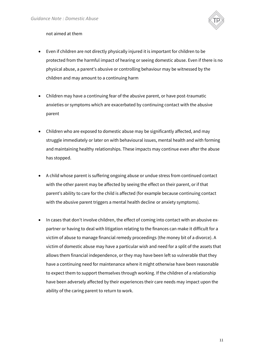

#### not aimed at them

- Even if children are not directly physically injured it is important for children to be protected from the harmful impact of hearing or seeing domestic abuse. Even if there is no physical abuse, a parent's abusive or controlling behaviour may be witnessed by the children and may amount to a continuing harm
- Children may have a continuing fear of the abusive parent, or have post-traumatic anxieties or symptoms which are exacerbated by continuing contact with the abusive parent
- Children who are exposed to domestic abuse may be significantly affected, and may struggle immediately or later on with behavioural issues, mental health and with forming and maintaining healthy relationships. These impacts may continue even after the abuse has stopped.
- A child whose parent is suffering ongoing abuse or undue stress from continued contact with the other parent may be affected by seeing the effect on their parent, or if that parent's ability to care for the child is affected (for example because continuing contact with the abusive parent triggers a mental health decline or anxiety symptoms).
- In cases that don't involve children, the effect of coming into contact with an abusive expartner or having to deal with litigation relating to the finances can make it difficult for a victim of abuse to manage financial remedy proceedings (the money bit of a divorce). A victim of domestic abuse may have a particular wish and need for a split of the assets that allows them financial independence, or they may have been left so vulnerable that they have a continuing need for maintenance where it might otherwise have been reasonable to expect them to support themselves through working. If the children of a relationship have been adversely affected by their experiences their care needs may impact upon the ability of the caring parent to return to work.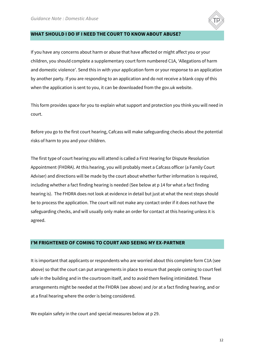

#### <span id="page-11-0"></span>**WHAT SHOULD I DO IF I NEED THE COURT TO KNOW ABOUT ABUSE?**

If you have any concerns about harm or abuse that have affected or might affect you or your children, you should complete a supplementary court form numbered C1A, 'Allegations of harm and domestic violence'. Send this in with your application form or your response to an application by another party. If you are responding to an application and do not receive a blank copy of this when the application is sent to you, it can be downloaded from the gov.uk website.

This form provides space for you to explain what support and protection you think you will need in court.

Before you go to the first court hearing, Cafcass will make safeguarding checks about the potential risks of harm to you and your children.

The first type of court hearing you will attend is called a First Hearing for Dispute Resolution Appointment (FHDRA). At this hearing, you will probably meet a Cafcass officer (a Family Court Adviser) and directions will be made by the court about whether further information is required, including whether a fact finding hearing is needed (See below at p 14 for what a fact finding hearing is). The FHDRA does not look at evidence in detail but just at what the next steps should be to process the application. The court will not make any contact order if it does not have the safeguarding checks, and will usually only make an order for contact at this hearing unless it is agreed.

## <span id="page-11-1"></span>**I'M FRIGHTENED OF COMING TO COURT AND SEEING MY EX-PARTNER**

It is important that applicants or respondents who are worried about this complete form C1A (see above) so that the court can put arrangements in place to ensure that people coming to court feel safe in the building and in the courtroom itself, and to avoid them feeling intimidated. These arrangements might be needed at the FHDRA (see above) and /or at a fact finding hearing, and or at a final hearing where the order is being considered.

We explain safety in the court and special measures below at p 29.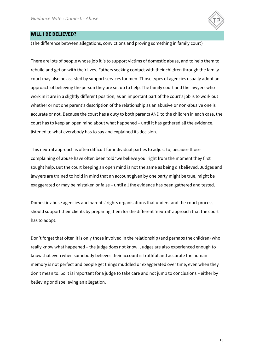

#### <span id="page-12-0"></span>**WILL I BE BELIEVED?**

(The difference between allegations, convictions and proving something in family court)

There are lots of people whose job it is to support victims of domestic abuse, and to help them to rebuild and get on with their lives. Fathers seeking contact with their children through the family court may also be assisted by support services for men. Those types of agencies usually adopt an approach of believing the person they are set up to help. The family court and the lawyers who work in it are in a slightly different position, as an important part of the court's job is to work out whether or not one parent's description of the relationship as an abusive or non-abusive one is accurate or not. Because the court has a duty to both parents AND to the children in each case, the court has to keep an open mind about what happened – until it has gathered all the evidence, listened to what everybody has to say and explained its decision.

This neutral approach is often difficult for individual parties to adjust to, because those complaining of abuse have often been told 'we believe you' right from the moment they first sought help. But the court keeping an open mind is not the same as being disbelieved. Judges and lawyers are trained to hold in mind that an account given by one party might be true, might be exaggerated or may be mistaken or false – until all the evidence has been gathered and tested.

Domestic abuse agencies and parents' rights organisations that understand the court process should support their clients by preparing them for the different 'neutral' approach that the court has to adopt.

Don't forget that often it is only those involved in the relationship (and perhaps the children) who really know what happened – the judge does not know. Judges are also experienced enough to know that even when somebody believes their account is truthful and accurate the human memory is not perfect and people get things muddled or exaggerated over time, even when they don't mean to. So it is important for a judge to take care and not jump to conclusions – either by believing or disbelieving an allegation.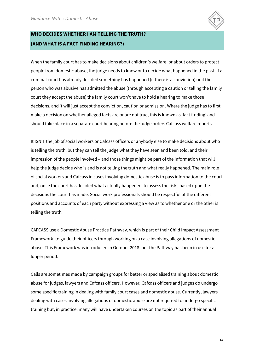

# <span id="page-13-0"></span>**WHO DECIDES WHETHER I AM TELLING THE TRUTH? (AND WHAT IS A FACT FINDING HEARING?)**

When the family court has to make decisions about children's welfare, or about orders to protect people from domestic abuse, the judge needs to know or to decide what happened in the past. If a criminal court has already decided something has happened (if there is a conviction) or if the person who was abusive has admitted the abuse (through accepting a caution or telling the family court they accept the abuse) the family court won't have to hold a hearing to make those decisions, and it will just accept the conviction, caution or admission. Where the judge has to first make a decision on whether alleged facts are or are not true, this is known as 'fact finding' and should take place in a separate court hearing before the judge orders Cafcass welfare reports.

It ISN'T the job of social workers or Cafcass officers or anybody else to make decisions about who is telling the truth, but they can tell the judge what they have seen and been told, and their impression of the people involved – and those things might be part of the information that will help the judge decide who is and is not telling the truth and what really happened. The main role of social workers and Cafcass in cases involving domestic abuse is to pass information to the court and, once the court has decided what actually happened, to assess the risks based upon the decisions the court has made. Social work professionals should be respectful of the different positions and accounts of each party without expressing a view as to whether one or the other is telling the truth.

CAFCASS use a Domestic Abuse Practice Pathway, which is part of their Child Impact Assessment Framework, to guide their officers through working on a case involving allegations of domestic abuse. This Framework was introduced in October 2018, but the Pathway has been in use for a longer period.

Calls are sometimes made by campaign groups for better or specialised training about domestic abuse for judges, lawyers and Cafcass officers. However, Cafcass officers and judges do undergo some specific training in dealing with family court cases and domestic abuse. Currently, lawyers dealing with cases involving allegations of domestic abuse are not required to undergo specific training but, in practice, many will have undertaken courses on the topic as part of their annual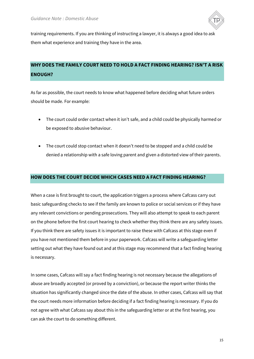

training requirements. If you are thinking of instructing a lawyer, it is always a good idea to ask them what experience and training they have in the area.

# <span id="page-14-0"></span>**WHY DOES THE FAMILY COURT NEED TO HOLD A FACT FINDING HEARING? ISN'T A RISK ENOUGH?**

As far as possible, the court needs to know what happened before deciding what future orders should be made. For example:

- The court could order contact when it isn't safe, and a child could be physically harmed or be exposed to abusive behaviour.
- The court could stop contact when it doesn't need to be stopped and a child could be denied a relationship with a safe loving parent and given a distorted view of their parents.

## <span id="page-14-1"></span>**HOW DOES THE COURT DECIDE WHICH CASES NEED A FACT FINDING HEARING?**

When a case is first brought to court, the application triggers a process where Cafcass carry out basic safeguarding checks to see if the family are known to police or social services or if they have any relevant convictions or pending prosecutions. They will also attempt to speak to each parent on the phone before the first court hearing to check whether they think there are any safety issues. If you think there are safety issues it is important to raise these with Cafcass at this stage even if you have not mentioned them before in your paperwork. Cafcass will write a safeguarding letter setting out what they have found out and at this stage may recommend that a fact finding hearing is necessary.

In some cases, Cafcass will say a fact finding hearing is not necessary because the allegations of abuse are broadly accepted (or proved by a conviction), or because the report writer thinks the situation has significantly changed since the date of the abuse. In other cases, Cafcass will say that the court needs more information before deciding if a fact finding hearing is necessary. If you do not agree with what Cafcass say about this in the safeguarding letter or at the first hearing, you can ask the court to do something different.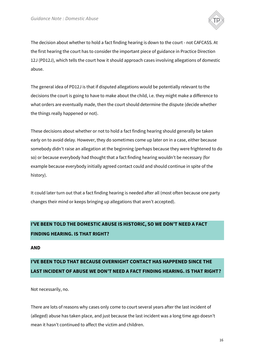

The decision about whether to hold a fact finding hearing is down to the court - not CAFCASS. At the first hearing the court has to consider the important piece of guidance in Practice Direction 12J (PD12J), which tells the court how it should approach cases involving allegations of domestic abuse.

The general idea of PD12J is that if disputed allegations would be potentially relevant to the decisions the court is going to have to make about the child, i.e. they might make a difference to what orders are eventually made, then the court should determine the dispute (decide whether the things really happened or not).

These decisions about whether or not to hold a fact finding hearing should generally be taken early on to avoid delay. However, they do sometimes come up later on in a case, either because somebody didn't raise an allegation at the beginning (perhaps because they were frightened to do so) or because everybody had thought that a fact finding hearing wouldn't be necessary (for example because everybody initially agreed contact could and should continue in spite of the history).

It could later turn out that a fact finding hearing is needed after all (most often because one party changes their mind or keeps bringing up allegations that aren't accepted).

# <span id="page-15-0"></span>**I'VE BEEN TOLD THE DOMESTIC ABUSE IS HISTORIC, SO WE DON'T NEED A FACT FINDING HEARING. IS THAT RIGHT?**

# <span id="page-15-1"></span>**AND**

# <span id="page-15-2"></span>**I'VE BEEN TOLD THAT BECAUSE OVERNIGHT CONTACT HAS HAPPENED SINCE THE LAST INCIDENT OF ABUSE WE DON'T NEED A FACT FINDING HEARING. IS THAT RIGHT?**

Not necessarily, no.

There are lots of reasons why cases only come to court several years after the last incident of (alleged) abuse has taken place, and just because the last incident was a long time ago doesn't mean it hasn't continued to affect the victim and children.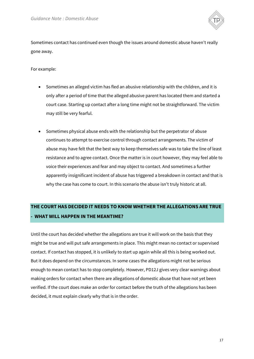

Sometimes contact has continued even though the issues around domestic abuse haven't really gone away.

For example:

- Sometimes an alleged victim has fled an abusive relationship with the children, and it is only after a period of time that the alleged abusive parent has located them and started a court case. Starting up contact after a long time might not be straightforward. The victim may still be very fearful.
- Sometimes physical abuse ends with the relationship but the perpetrator of abuse continues to attempt to exercise control through contact arrangements. The victim of abuse may have felt that the best way to keep themselves safe was to take the line of least resistance and to agree contact. Once the matter is in court however, they may feel able to voice their experiences and fear and may object to contact. And sometimes a further apparently insignificant incident of abuse has triggered a breakdown in contact and that is why the case has come to court. In this scenario the abuse isn't truly historic at all.

# <span id="page-16-0"></span>**THE COURT HAS DECIDED IT NEEDS TO KNOW WHETHER THE ALLEGATIONS ARE TRUE - WHAT WILL HAPPEN IN THE MEANTIME?**

Until the court has decided whether the allegations are true it will work on the basis that they might be true and will put safe arrangements in place. This might mean no contact or supervised contact. If contact has stopped, it is unlikely to start up again while all this is being worked out. But it does depend on the circumstances. In some cases the allegations might not be serious enough to mean contact has to stop completely. However, PD12J gives very clear warnings about making orders for contact when there are allegations of domestic abuse that have not yet been verified. If the court does make an order for contact before the truth of the allegations has been decided, it must explain clearly why that is in the order.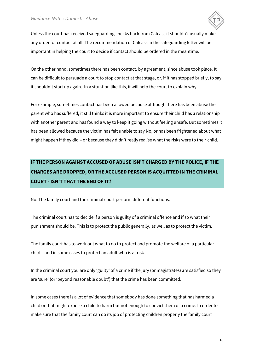

Unless the court has received safeguarding checks back from Cafcass it shouldn't usually make any order for contact at all. The recommendation of Cafcass in the safeguarding letter will be important in helping the court to decide if contact should be ordered in the meantime.

On the other hand, sometimes there has been contact, by agreement, since abuse took place. It can be difficult to persuade a court to stop contact at that stage, or, if it has stopped briefly, to say it shouldn't start up again. In a situation like this, it will help the court to explain why.

For example, sometimes contact has been allowed because although there has been abuse the parent who has suffered, it still thinks it is more important to ensure their child has a relationship with another parent and has found a way to keep it going without feeling unsafe. But sometimes it has been allowed because the victim has felt unable to say No, or has been frightened about what might happen if they did – or because they didn't really realise what the risks were to their child.

# <span id="page-17-0"></span>**IF THE PERSON AGAINST ACCUSED OF ABUSE ISN'T CHARGED BY THE POLICE, IF THE CHARGES ARE DROPPED, OR THE ACCUSED PERSON IS ACQUITTED IN THE CRIMINAL COURT - ISN'T THAT THE END OF IT?**

No. The family court and the criminal court perform different functions.

The criminal court has to decide if a person is guilty of a criminal offence and if so what their punishment should be. This is to protect the public generally, as well as to protect the victim.

The family court has to work out what to do to protect and promote the welfare of a particular child – and in some cases to protect an adult who is at risk.

In the criminal court you are only 'guilty' of a crime if the jury (or magistrates) are satisfied so they are 'sure' (or 'beyond reasonable doubt') that the crime has been committed.

In some cases there is a lot of evidence that somebody has done something that has harmed a child or that might expose a child to harm but not enough to convict them of a crime. In order to make sure that the family court can do its job of protecting children properly the family court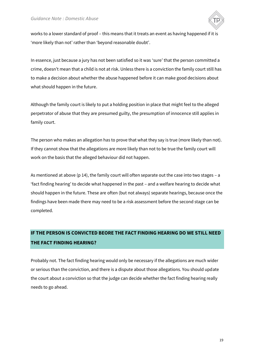

works to a lower standard of proof – this means that it treats an event as having happened if it is 'more likely than not' rather than 'beyond reasonable doubt'.

In essence, just because a jury has not been satisfied so it was 'sure' that the person committed a crime, doesn't mean that a child is not at risk. Unless there is a conviction the family court still has to make a decision about whether the abuse happened before it can make good decisions about what should happen in the future.

Although the family court is likely to put a holding position in place that might feel to the alleged perpetrator of abuse that they are presumed guilty, the presumption of innocence still applies in family court.

The person who makes an allegation has to prove that what they say is true (more likely than not). If they cannot show that the allegations are more likely than not to be true the family court will work on the basis that the alleged behaviour did not happen.

As mentioned at above (p 14), the family court will often separate out the case into two stages – a 'fact finding hearing' to decide what happened in the past – and a welfare hearing to decide what should happen in the future. These are often (but not always) separate hearings, because once the findings have been made there may need to be a risk assessment before the second stage can be completed.

# <span id="page-18-0"></span>**IF THE PERSON IS CONVICTED BEORE THE FACT FINDING HEARING DO WE STILL NEED THE FACT FINDING HEARING?**

Probably not. The fact finding hearing would only be necessary if the allegations are much wider or serious than the conviction, and there is a dispute about those allegations. You should update the court about a conviction so that the judge can decide whether the fact finding hearing really needs to go ahead.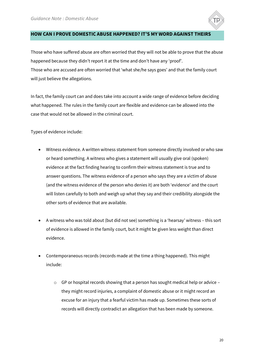

#### <span id="page-19-0"></span>**HOW CAN I PROVE DOMESTIC ABUSE HAPPENED? IT'S MY WORD AGAINST THEIRS**

Those who have suffered abuse are often worried that they will not be able to prove that the abuse happened because they didn't report it at the time and don't have any 'proof'. Those who are accused are often worried that 'what she/he says goes' and that the family court will just believe the allegations.

In fact, the family court can and does take into account a wide range of evidence before deciding what happened. The rules in the family court are flexible and evidence can be allowed into the case that would not be allowed in the criminal court.

Types of evidence include:

- Witness evidence. A written witness statement from someone directly involved or who saw or heard something. A witness who gives a statement will usually give oral (spoken) evidence at the fact finding hearing to confirm their witness statement is true and to answer questions. The witness evidence of a person who says they are a victim of abuse (and the witness evidence of the person who denies it) are both 'evidence' and the court will listen carefully to both and weigh up what they say and their credibility alongside the other sorts of evidence that are available.
- A witness who was told about (but did not see) something is a 'hearsay' witness this sort of evidence is allowed in the family court, but it might be given less weight than direct evidence.
- Contemporaneous records (records made at the time a thing happened). This might include:
	- o GP or hospital records showing that a person has sought medical help or advice they might record injuries, a complaint of domestic abuse or it might record an excuse for an injury that a fearful victim has made up. Sometimes these sorts of records will directly contradict an allegation that has been made by someone.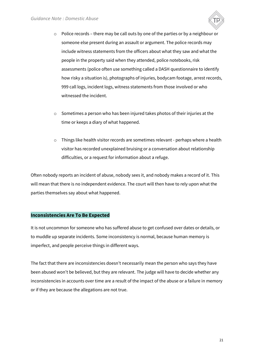

- $\circ$  Police records there may be call outs by one of the parties or by a neighbour or someone else present during an assault or argument. The police records may include witness statements from the officers about what they saw and what the people in the property said when they attended, police notebooks, risk assessments (police often use something called a DASH questionnaire to identify how risky a situation is), photographs of injuries, bodycam footage, arrest records, 999 call logs, incident logs, witness statements from those involved or who witnessed the incident.
- o Sometimes a person who has been injured takes photos of their injuries at the time or keeps a diary of what happened.
- o Things like health visitor records are sometimes relevant perhaps where a health visitor has recorded unexplained bruising or a conversation about relationship difficulties, or a request for information about a refuge.

Often nobody reports an incident of abuse, nobody sees it, and nobody makes a record of it. This will mean that there is no independent evidence. The court will then have to rely upon what the parties themselves say about what happened.

## <span id="page-20-0"></span>**Inconsistencies Are To Be Expected**

It is not uncommon for someone who has suffered abuse to get confused over dates or details, or to muddle up separate incidents. Some inconsistency is normal, because human memory is imperfect, and people perceive things in different ways.

The fact that there are inconsistencies doesn't necessarily mean the person who says they have been abused won't be believed, but they are relevant. The judge will have to decide whether any inconsistencies in accounts over time are a result of the impact of the abuse or a failure in memory or if they are because the allegations are not true.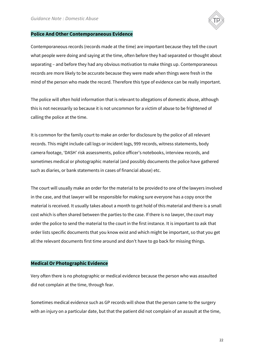

#### <span id="page-21-0"></span>**Police And Other Contemporaneous Evidence**

Contemporaneous records (records made at the time) are important because they tell the court what people were doing and saying at the time, often before they had separated or thought about separating – and before they had any obvious motivation to make things up. Contemporaneous records are more likely to be accurate because they were made when things were fresh in the mind of the person who made the record. Therefore this type of evidence can be really important.

The police will often hold information that is relevant to allegations of domestic abuse, although this is not necessarily so because it is not uncommon for a victim of abuse to be frightened of calling the police at the time.

It is common for the family court to make an order for disclosure by the police of all relevant records. This might include call logs or incident logs, 999 records, witness statements, body camera footage, 'DASH' risk assessments, police officer's notebooks, interview records, and sometimes medical or photographic material (and possibly documents the police have gathered such as diaries, or bank statements in cases of financial abuse) etc.

The court will usually make an order for the material to be provided to one of the lawyers involved in the case, and that lawyer will be responsible for making sure everyone has a copy once the material is received. It usually takes about a month to get hold of this material and there is a small cost which is often shared between the parties to the case. If there is no lawyer, the court may order the police to send the material to the court in the first instance. It is important to ask that order lists specific documents that you know exist and which might be important, so that you get all the relevant documents first time around and don't have to go back for missing things.

#### <span id="page-21-1"></span>**Medical Or Photographic Evidence**

Very often there is no photographic or medical evidence because the person who was assaulted did not complain at the time, through fear.

Sometimes medical evidence such as GP records will show that the person came to the surgery with an injury on a particular date, but that the patient did not complain of an assault at the time,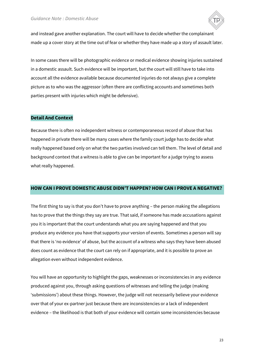

and instead gave another explanation. The court will have to decide whether the complainant made up a cover story at the time out of fear or whether they have made up a story of assault later.

In some cases there will be photographic evidence or medical evidence showing injuries sustained in a domestic assault. Such evidence will be important, but the court will still have to take into account all the evidence available because documented injuries do not always give a complete picture as to who was the aggressor (often there are conflicting accounts and sometimes both parties present with injuries which might be defensive).

#### <span id="page-22-0"></span>**Detail And Context**

Because there is often no independent witness or contemporaneous record of abuse that has happened in private there will be many cases where the family court judge has to decide what really happened based only on what the two parties involved can tell them. The level of detail and background context that a witness is able to give can be important for a judge trying to assess what really happened.

## <span id="page-22-1"></span>**HOW CAN I PROVE DOMESTIC ABUSE DIDN'T HAPPEN? HOW CAN I PROVE A NEGATIVE?**

The first thing to say is that you don't have to prove anything – the person making the allegations has to prove that the things they say are true. That said, if someone has made accusations against you it is important that the court understands what you are saying happened and that you produce any evidence you have that supports your version of events. Sometimes a person will say that there is 'no evidence' of abuse, but the account of a witness who says they have been abused does count as evidence that the court can rely on if appropriate, and it is possible to prove an allegation even without independent evidence.

You will have an opportunity to highlight the gaps, weaknesses or inconsistencies in any evidence produced against you, through asking questions of witnesses and telling the judge (making 'submissions') about these things. However, the judge will not necessarily believe your evidence over that of your ex-partner just because there are inconsistencies or a lack of independent evidence – the likelihood is that both of your evidence will contain some inconsistencies because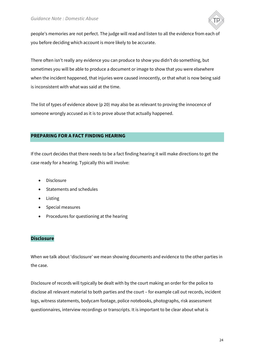

people's memories are not perfect. The judge will read and listen to all the evidence from each of you before deciding which account is more likely to be accurate.

There often isn't really any evidence you can produce to show you didn't do something, but sometimes you will be able to produce a document or image to show that you were elsewhere when the incident happened, that injuries were caused innocently, or that what is now being said is inconsistent with what was said at the time.

The list of types of evidence above (p 20) may also be as relevant to proving the innocence of someone wrongly accused as it is to prove abuse that actually happened.

# <span id="page-23-0"></span>**PREPARING FOR A FACT FINDING HEARING**

If the court decides that there needs to be a fact finding hearing it will make directions to get the case ready for a hearing. Typically this will involve:

- Disclosure
- Statements and schedules
- Listing
- Special measures
- Procedures for questioning at the hearing

# <span id="page-23-1"></span>**Disclosure**

When we talk about 'disclosure' we mean showing documents and evidence to the other parties in the case.

Disclosure of records will typically be dealt with by the court making an order for the police to disclose all relevant material to both parties and the court – for example call out records, incident logs, witness statements, bodycam footage, police notebooks, photographs, risk assessment questionnaires, interview recordings or transcripts. It is important to be clear about what is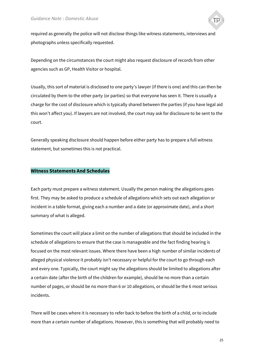

required as generally the police will not disclose things like witness statements, interviews and photographs unless specifically requested.

Depending on the circumstances the court might also request disclosure of records from other agencies such as GP, Health Visitor or hospital.

Usually, this sort of material is disclosed to one party's lawyer (if there is one) and this can then be circulated by them to the other party (or parties) so that everyone has seen it. There is usually a charge for the cost of disclosure which is typically shared between the parties (if you have legal aid this won't affect you). If lawyers are not involved, the court may ask for disclosure to be sent to the court.

Generally speaking disclosure should happen before either party has to prepare a full witness statement, but sometimes this is not practical.

#### <span id="page-24-0"></span>**Witness Statements And Schedules**

Each party must prepare a witness statement. Usually the person making the allegations goes first. They may be asked to produce a schedule of allegations which sets out each allegation or incident in a table format, giving each a number and a date (or approximate date), and a short summary of what is alleged.

Sometimes the court will place a limit on the number of allegations that should be included in the schedule of allegations to ensure that the case is manageable and the fact finding hearing is focused on the most relevant issues. Where there have been a high number of similar incidents of alleged physical violence it probably isn't necessary or helpful for the court to go through each and every one. Typically, the court might say the allegations should be limited to allegations after a certain date (after the birth of the children for example), should be no more than a certain number of pages, or should be no more than 6 or 10 allegations, or should be the 6 most serious incidents.

There will be cases where it is necessary to refer back to before the birth of a child, or to include more than a certain number of allegations. However, this is something that will probably need to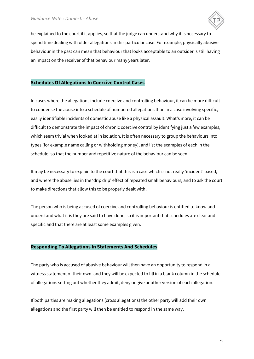

be explained to the court if it applies, so that the judge can understand why it is necessary to spend time dealing with older allegations in this particular case. For example, physically abusive behaviour in the past can mean that behaviour that looks acceptable to an outsider is still having an impact on the receiver of that behaviour many years later.

#### <span id="page-25-0"></span>**Schedules Of Allegations In Coercive Control Cases**

In cases where the allegations include coercive and controlling behaviour, it can be more difficult to condense the abuse into a schedule of numbered allegations than in a case involving specific, easily identifiable incidents of domestic abuse like a physical assault. What's more, it can be difficult to demonstrate the impact of chronic coercive control by identifying just a few examples, which seem trivial when looked at in isolation. It is often necessary to group the behaviours into types (for example name calling or withholding money), and list the examples of each in the schedule, so that the number and repetitive nature of the behaviour can be seen.

It may be necessary to explain to the court that this is a case which is not really 'incident' based, and where the abuse lies in the 'drip drip' effect of repeated small behaviours, and to ask the court to make directions that allow this to be properly dealt with.

The person who is being accused of coercive and controlling behaviour is entitled to know and understand what it is they are said to have done, so it is important that schedules are clear and specific and that there are at least some examples given.

#### <span id="page-25-1"></span>**Responding To Allegations In Statements And Schedules**

The party who is accused of abusive behaviour will then have an opportunity to respond in a witness statement of their own, and they will be expected to fill in a blank column in the schedule of allegations setting out whether they admit, deny or give another version of each allegation.

If both parties are making allegations (cross allegations) the other party will add their own allegations and the first party will then be entitled to respond in the same way.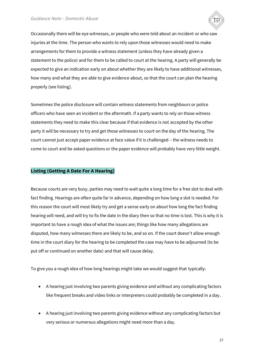

Occasionally there will be eye witnesses, or people who were told about an incident or who saw injuries at the time. The person who wants to rely upon those witnesses would need to make arrangements for them to provide a witness statement (unless they have already given a statement to the police) and for them to be called to court at the hearing. A party will generally be expected to give an indication early on about whether they are likely to have additional witnesses, how many and what they are able to give evidence about, so that the court can plan the hearing properly (see listing).

Sometimes the police disclosure will contain witness statements from neighbours or police officers who have seen an incident or the aftermath. If a party wants to rely on those witness statements they need to make this clear because if that evidence is not accepted by the other party it will be necessary to try and get those witnesses to court on the day of the hearing. The court cannot just accept paper evidence at face value if it is challenged – the witness needs to come to court and be asked questions or the paper evidence will probably have very little weight.

## <span id="page-26-0"></span>**Listing (Getting A Date For A Hearing)**

Because courts are very busy, parties may need to wait quite a long time for a free slot to deal with fact finding. Hearings are often quite far in advance, depending on how long a slot is needed. For this reason the court will most likely try and get a sense early on about how long the fact finding hearing will need, and will try to fix the date in the diary then so that no time is lost. This is why it is important to have a rough idea of what the issues are; things like how many allegations are disputed, how many witnesses there are likely to be, and so on. If the court doesn't allow enough time in the court diary for the hearing to be completed the case may have to be adjourned (to be put off or continued on another date) and that will cause delay.

To give you a rough idea of how long hearings might take we would suggest that typically:

- A hearing just involving two parents giving evidence and without any complicating factors like frequent breaks and video links or interpreters could probably be completed in a day.
- A hearing just involving two parents giving evidence without any complicating factors but very serious or numerous allegations might need more than a day.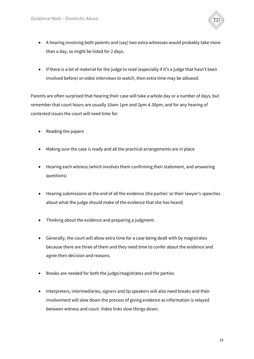

- A hearing involving both parents and (say) two extra witnesses would probably take more than a day, so might be listed for 2 days.
- If there is a lot of material for the judge to read (especially if it's a judge that hasn't been involved before) or video interviews to watch, then extra time may be allowed.

Parents are often surprised that hearing their case will take a whole day or a number of days, but remember that court hours are usually 10am-1pm and 2pm-4.30pm, and for any hearing of contested issues the court will need time for:

- Reading the papers
- Making sure the case is ready and all the practical arrangements are in place
- Hearing each witness (which involves them confirming their statement, and answering questions)
- Hearing submissions at the end of all the evidence (the parties' or their lawyer's speeches about what the judge should make of the evidence that she has heard)
- Thinking about the evidence and preparing a judgment.
- Generally, the court will allow extra time for a case being dealt with by magistrates because there are three of them and they need time to confer about the evidence and agree their decision and reasons.
- Breaks are needed for both the judge/magistrates and the parties.
- Interpreters, intermediaries, signers and lip speakers will also need breaks and their involvement will slow down the process of giving evidence as information is relayed between witness and court. Video links slow things down.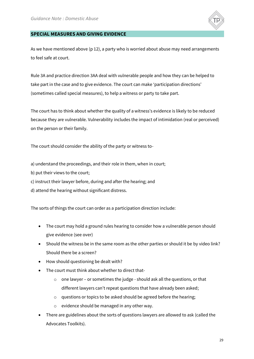

## <span id="page-28-0"></span>**SPECIAL MEASURES AND GIVING EVIDENCE**

As we have mentioned above (p 12), a party who is worried about abuse may need arrangements to feel safe at court.

Rule 3A and practice direction 3AA deal with vulnerable people and how they can be helped to take part in the case and to give evidence. The court can make 'participation directions' (sometimes called special measures), to help a witness or party to take part.

The court has to think about whether the quality of a witness's evidence is likely to be reduced because they are vulnerable. Vulnerability includes the impact of intimidation (real or perceived) on the person or their family.

The court should consider the ability of the party or witness to-

a) understand the proceedings, and their role in them, when in court;

- b) put their views to the court;
- c) instruct their lawyer before, during and after the hearing; and
- d) attend the hearing without significant distress.

The sorts of things the court can order as a participation direction include:

- The court may hold a ground rules hearing to consider how a vulnerable person should give evidence (see over)
- Should the witness be in the same room as the other parties or should it be by video link? Should there be a screen?
- How should questioning be dealt with?
- The court must think about whether to direct that
	- o one lawyer or sometimes the judge should ask all the questions, or that different lawyers can't repeat questions that have already been asked;
	- o questions or topics to be asked should be agreed before the hearing;
	- o evidence should be managed in any other way.
- There are guidelines about the sorts of questions lawyers are allowed to ask (called the Advocates Toolkits).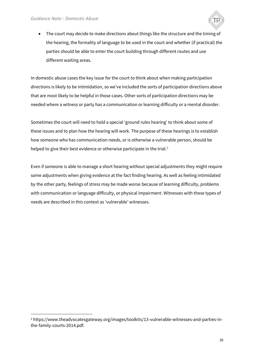$\overline{a}$ 



• The court may decide to make directions about things like the structure and the timing of the hearing, the formality of language to be used in the court and whether (if practical) the parties should be able to enter the court building through different routes and use different waiting areas.

In domestic abuse cases the key issue for the court to think about when making participation directions is likely to be intimidation, so we've included the sorts of participation directions above that are most likely to be helpful in those cases. Other sorts of participation directions may be needed where a witness or party has a communication or learning difficulty or a mental disorder.

Sometimes the court will need to hold a special 'ground rules hearing' to think about some of these issues and to plan how the hearing will work. The purpose of these hearings is to establish how someone who has communication needs, or is otherwise a vulnerable person, should be helped to give their best evidence or otherwise participate in the trial.<sup>3</sup>

Even if someone is able to manage a short hearing without special adjustments they might require some adjustments when giving evidence at the fact finding hearing. As well as feeling intimidated by the other party, feelings of stress may be made worse because of learning difficulty, problems with communication or language difficulty, or physical impairment. Witnesses with these types of needs are described in this context as 'vulnerable' witnesses.

<sup>3</sup> https://www.theadvocatesgateway.org/images/toolkits/13-vulnerable-witnesses-and-parties-inthe-family-courts-2014.pdf.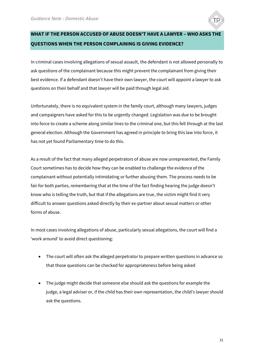

# <span id="page-30-0"></span>**WHAT IF THE PERSON ACCUSED OF ABUSE DOESN'T HAVE A LAWYER – WHO ASKS THE QUESTIONS WHEN THE PERSON COMPLAINING IS GIVING EVIDENCE?**

In criminal cases involving allegations of sexual assault, the defendant is not allowed personally to ask questions of the complainant because this might prevent the complainant from giving their best evidence. If a defendant doesn't have their own lawyer, the court will appoint a lawyer to ask questions on their behalf and that lawyer will be paid through legal aid.

Unfortunately, there is no equivalent system in the family court, although many lawyers, judges and campaigners have asked for this to be urgently changed. Legislation was due to be brought into force to create a scheme along similar lines to the criminal one, but this fell through at the last general election. Although the Government has agreed in principle to bring this law into force, it has not yet found Parliamentary time to do this.

As a result of the fact that many alleged perpetrators of abuse are now unrepresented, the Family Court sometimes has to decide how they can be enabled to challenge the evidence of the complainant without potentially intimidating or further abusing them. The process needs to be fair for both parties, remembering that at the time of the fact finding hearing the judge doesn't know who is telling the truth, but that if the allegations are true, the victim might find it very difficult to answer questions asked directly by their ex-partner about sexual matters or other forms of abuse.

In most cases involving allegations of abuse, particularly sexual allegations, the court will find a 'work around' to avoid direct questioning:

- The court will often ask the alleged perpetrator to prepare written questions in advance so that those questions can be checked for appropriateness before being asked
- The judge might decide that someone else should ask the questions for example the judge, a legal adviser or, if the child has their own representation, the child's lawyer should ask the questions.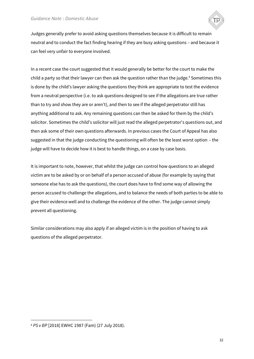

Judges generally prefer to avoid asking questions themselves because it is difficult to remain neutral and to conduct the fact finding hearing if they are busy asking questions – and because it can feel very unfair to everyone involved.

In a recent case the court suggested that it would generally be better for the court to make the child a party so that their lawyer can then ask the question rather than the judge.<sup>4</sup> Sometimes this is done by the child's lawyer asking the questions they think are appropriate to test the evidence from a neutral perspective (i.e. to ask questions designed to see if the allegations are true rather than to try and show they are or aren't), and then to see if the alleged perpetrator still has anything additional to ask. Any remaining questions can then be asked for them by the child's solicitor. Sometimes the child's solicitor will just read the alleged perpetrator's questions out, and then ask some of their own questions afterwards. In previous cases the Court of Appeal has also suggested in that the judge conducting the questioning will often be the least worst option – the judge will have to decide how it is best to handle things, on a case by case basis.

It is important to note, however, that whilst the judge can control how questions to an alleged victim are to be asked by or on behalf of a person accused of abuse (for example by saying that someone else has to ask the questions), the court does have to find some way of allowing the person accused to challenge the allegations, and to balance the needs of both parties to be able to give their evidence well and to challenge the evidence of the other. The judge cannot simply prevent all questioning.

Similar considerations may also apply if an alleged victim is in the position of having to ask questions of the alleged perpetrator.

ׇ֬֒

<sup>4</sup> *PS v BP* [2018] EWHC 1987 (Fam) (27 July 2018).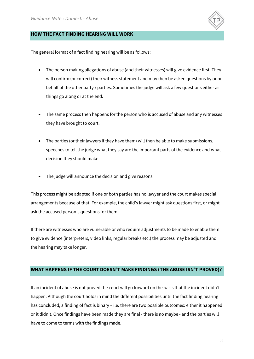

#### <span id="page-32-0"></span>**HOW THE FACT FINDING HEARING WILL WORK**

The general format of a fact finding hearing will be as follows:

- The person making allegations of abuse (and their witnesses) will give evidence first. They will confirm (or correct) their witness statement and may then be asked questions by or on behalf of the other party / parties. Sometimes the judge will ask a few questions either as things go along or at the end.
- The same process then happens for the person who is accused of abuse and any witnesses they have brought to court.
- The parties (or their lawyers if they have them) will then be able to make submissions, speeches to tell the judge what they say are the important parts of the evidence and what decision they should make.
- The judge will announce the decision and give reasons.

This process might be adapted if one or both parties has no lawyer and the court makes special arrangements because of that. For example, the child's lawyer might ask questions first, or might ask the accused person's questions for them.

If there are witnesses who are vulnerable or who require adjustments to be made to enable them to give evidence (interpreters, video links, regular breaks etc.) the process may be adjusted and the hearing may take longer.

## <span id="page-32-1"></span>**WHAT HAPPENS IF THE COURT DOESN'T MAKE FINDINGS (THE ABUSE ISN'T PROVED)?**

If an incident of abuse is not proved the court will go forward on the basis that the incident didn't happen. Although the court holds in mind the different possibilities until the fact finding hearing has concluded, a finding of fact is binary – i.e. there are two possible outcomes: either it happened or it didn't. Once findings have been made they are final - there is no maybe - and the parties will have to come to terms with the findings made.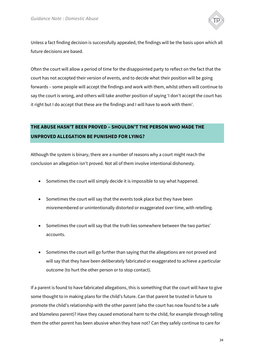

Unless a fact finding decision is successfully appealed, the findings will be the basis upon which all future decisions are based.

Often the court will allow a period of time for the disappointed party to reflect on the fact that the court has not accepted their version of events, and to decide what their position will be going forwards – some people will accept the findings and work with them, whilst others will continue to say the court is wrong, and others will take another position of saying 'I don't accept the court has it right but I do accept that these are the findings and I will have to work with them'.

# <span id="page-33-0"></span>**THE ABUSE HASN'T BEEN PROVED – SHOULDN'T THE PERSON WHO MADE THE UNPROVED ALLEGATION BE PUNISHED FOR LYING?**

Although the system is binary, there are a number of reasons why a court might reach the conclusion an allegation isn't proved. Not all of them involve intentional dishonesty.

- Sometimes the court will simply decide it is impossible to say what happened.
- Sometimes the court will say that the events took place but they have been misremembered or unintentionally distorted or exaggerated over time, with retelling.
- Sometimes the court will say that the truth lies somewhere between the two parties' accounts.
- Sometimes the court will go further than saying that the allegations are not proved and will say that they have been deliberately fabricated or exaggerated to achieve a particular outcome (to hurt the other person or to stop contact).

If a parent is found to have fabricated allegations, this is something that the court will have to give some thought to in making plans for the child's future. Can that parent be trusted in future to promote the child's relationship with the other parent (who the court has now found to be a safe and blameless parent)? Have they caused emotional harm to the child, for example through telling them the other parent has been abusive when they have not? Can they safely continue to care for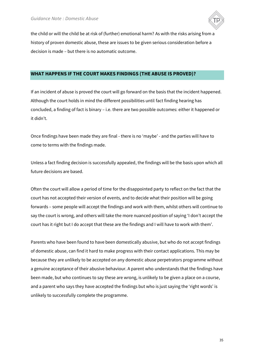

the child or will the child be at risk of (further) emotional harm? As with the risks arising from a history of proven domestic abuse, these are issues to be given serious consideration before a decision is made – but there is no automatic outcome.

# <span id="page-34-0"></span>**WHAT HAPPENS IF THE COURT MAKES FINDINGS (THE ABUSE IS PROVED)?**

If an incident of abuse is proved the court will go forward on the basis that the incident happened. Although the court holds in mind the different possibilities until fact finding hearing has concluded, a finding of fact is binary – i.e. there are two possible outcomes: either it happened or it didn't.

Once findings have been made they are final - there is no 'maybe' - and the parties will have to come to terms with the findings made.

Unless a fact finding decision is successfully appealed, the findings will be the basis upon which all future decisions are based.

Often the court will allow a period of time for the disappointed party to reflect on the fact that the court has not accepted their version of events, and to decide what their position will be going forwards – some people will accept the findings and work with them, whilst others will continue to say the court is wrong, and others will take the more nuanced position of saying 'I don't accept the court has it right but I do accept that these are the findings and I will have to work with them'.

Parents who have been found to have been domestically abusive, but who do not accept findings of domestic abuse, can find it hard to make progress with their contact applications. This may be because they are unlikely to be accepted on any domestic abuse perpetrators programme without a genuine acceptance of their abusive behaviour. A parent who understands that the findings have been made, but who continues to say these are wrong, is unlikely to be given a place on a course, and a parent who says they have accepted the findings but who is just saying the 'right words' is unlikely to successfully complete the programme.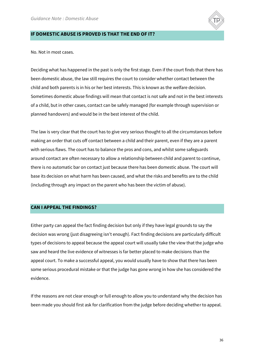

#### <span id="page-35-0"></span>**IF DOMESTIC ABUSE IS PROVED IS THAT THE END OF IT?**

No. Not in most cases.

Deciding what has happened in the past is only the first stage. Even if the court finds that there has been domestic abuse, the law still requires the court to consider whether contact between the child and both parents is in his or her best interests. This is known as the welfare decision. Sometimes domestic abuse findings will mean that contact is not safe and not in the best interests of a child, but in other cases, contact can be safely managed (for example through supervision or planned handovers) and would be in the best interest of the child.

The law is very clear that the court has to give very serious thought to all the circumstances before making an order that cuts off contact between a child and their parent, even if they are a parent with serious flaws. The court has to balance the pros and cons, and whilst some safeguards around contact are often necessary to allow a relationship between child and parent to continue, there is no automatic bar on contact just because there has been domestic abuse. The court will base its decision on what harm has been caused, and what the risks and benefits are to the child (including through any impact on the parent who has been the victim of abuse).

#### <span id="page-35-1"></span>**CAN I APPEAL THE FINDINGS?**

Either party can appeal the fact finding decision but only if they have legal grounds to say the decision was wrong (just disagreeing isn't enough). Fact finding decisions are particularly difficult types of decisions to appeal because the appeal court will usually take the view that the judge who saw and heard the live evidence of witnesses is far better placed to make decisions than the appeal court. To make a successful appeal, you would usually have to show that there has been some serious procedural mistake or that the judge has gone wrong in how she has considered the evidence.

If the reasons are not clear enough or full enough to allow you to understand why the decision has been made you should first ask for clarification from the judge before deciding whether to appeal.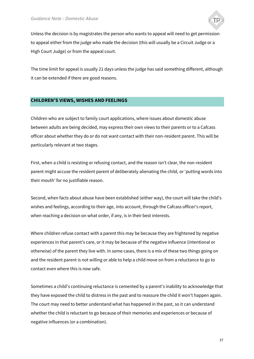

Unless the decision is by magistrates the person who wants to appeal will need to get permission to appeal either from the judge who made the decision (this will usually be a Circuit Judge or a High Court Judge) or from the appeal court.

The time limit for appeal is usually 21 days unless the judge has said something different, although it can be extended if there are good reasons.

#### <span id="page-36-0"></span>**CHILDREN'S VIEWS, WISHES AND FEELINGS**

Children who are subject to family court applications, where issues about domestic abuse between adults are being decided, may express their own views to their parents or to a Cafcass officer about whether they do or do not want contact with their non-resident parent. This will be particularly relevant at two stages.

First, when a child is resisting or refusing contact, and the reason isn't clear, the non-resident parent might accuse the resident parent of deliberately alienating the child, or 'putting words into their mouth' for no justifiable reason.

Second, when facts about abuse have been established (either way), the court will take the child's wishes and feelings, according to their age, into account, through the Cafcass officer's report, when reaching a decision on what order, if any, is in their best interests.

Where children refuse contact with a parent this may be because they are frightened by negative experiences in that parent's care, or it may be because of the negative influence (intentional or otherwise) of the parent they live with. In some cases, there is a mix of these two things going on and the resident parent is not willing or able to help a child move on from a reluctance to go to contact even where this is now safe.

Sometimes a child's continuing reluctance is cemented by a parent's inability to acknowledge that they have exposed the child to distress in the past and to reassure the child it won't happen again. The court may need to better understand what has happened in the past, so it can understand whether the child is reluctant to go because of their memories and experiences or because of negative influences (or a combination).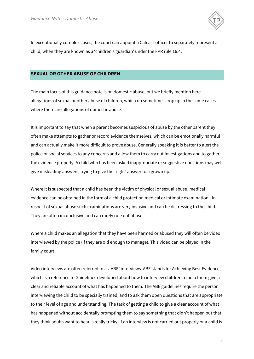

In exceptionally complex cases, the court can appoint a Cafcass officer to separately represent a child, when they are known as a 'children's guardian' under the FPR rule 16.4.

#### <span id="page-37-0"></span>**SEXUAL OR OTHER ABUSE OF CHILDREN**

The main focus of this guidance note is on domestic abuse, but we briefly mention here allegations of sexual or other abuse of children, which do sometimes crop up in the same cases where there are allegations of domestic abuse.

It is important to say that when a parent becomes suspicious of abuse by the other parent they often make attempts to gather or record evidence themselves, which can be emotionally harmful and can actually make it more difficult to prove abuse. Generally speaking it is better to alert the police or social services to any concerns and allow them to carry out investigations and to gather the evidence properly. A child who has been asked inappropriate or suggestive questions may well give misleading answers, trying to give the 'right' answer to a grown up.

Where it is suspected that a child has been the victim of physical or sexual abuse, medical evidence can be obtained in the form of a child protection medical or intimate examination. In respect of sexual abuse such examinations are very invasive and can be distressing to the child. They are often inconclusive and can rarely rule out abuse.

Where a child makes an allegation that they have been harmed or abused they will often be video interviewed by the police (if they are old enough to manage). This video can be played in the family court.

Video interviews are often referred to as 'ABE' interviews. ABE stands for Achieving Best Evidence, which is a reference to Guidelines developed about how to interview children to help them give a clear and reliable account of what has happened to them. The ABE guidelines require the person interviewing the child to be specially trained, and to ask them open questions that are appropriate to their level of age and understanding. The task of getting a child to give a clear account of what has happened without accidentally prompting them to say something that didn't happen but that they think adults want to hear is really tricky. If an interview is not carried out properly or a child is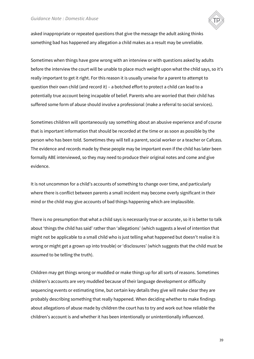

asked inappropriate or repeated questions that give the message the adult asking thinks something bad has happened any allegation a child makes as a result may be unreliable.

Sometimes when things have gone wrong with an interview or with questions asked by adults before the interview the court will be unable to place much weight upon what the child says, so it's really important to get it right. For this reason it is usually unwise for a parent to attempt to question their own child (and record it) – a botched effort to protect a child can lead to a potentially true account being incapable of belief. Parents who are worried that their child has suffered some form of abuse should involve a professional (make a referral to social services).

Sometimes children will spontaneously say something about an abusive experience and of course that is important information that should be recorded at the time or as soon as possible by the person who has been told. Sometimes they will tell a parent, social worker or a teacher or Cafcass. The evidence and records made by these people may be important even if the child has later been formally ABE interviewed, so they may need to produce their original notes and come and give evidence.

It is not uncommon for a child's accounts of something to change over time, and particularly where there is conflict between parents a small incident may become overly significant in their mind or the child may give accounts of bad things happening which are implausible.

There is no presumption that what a child says is necessarily true or accurate, so it is better to talk about 'things the child has said' rather than 'allegations' (which suggests a level of intention that might not be applicable to a small child who is just telling what happened but doesn't realise it is wrong or might get a grown up into trouble) or 'disclosures' (which suggests that the child must be assumed to be telling the truth).

Children may get things wrong or muddled or make things up for all sorts of reasons. Sometimes children's accounts are very muddled because of their language development or difficulty sequencing events or estimating time, but certain key details they give will make clear they are probably describing something that really happened. When deciding whether to make findings about allegations of abuse made by children the court has to try and work out how reliable the children's account is and whether it has been intentionally or unintentionally influenced.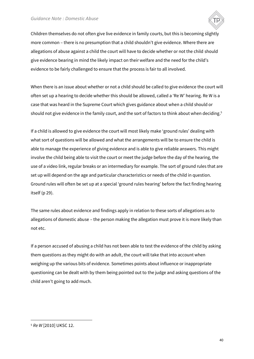

Children themselves do not often give live evidence in family courts, but this is becoming slightly more common – there is no presumption that a child shouldn't give evidence. Where there are allegations of abuse against a child the court will have to decide whether or not the child should give evidence bearing in mind the likely impact on their welfare and the need for the child's evidence to be fairly challenged to ensure that the process is fair to all involved.

When there is an issue about whether or not a child should be called to give evidence the court will often set up a hearing to decide whether this should be allowed, called a 'Re W' hearing. Re W is a case that was heard in the Supreme Court which gives guidance about when a child should or should not give evidence in the family court, and the sort of factors to think about when deciding. $^5$ 

If a child is allowed to give evidence the court will most likely make 'ground rules' dealing with what sort of questions will be allowed and what the arrangements will be to ensure the child is able to manage the experience of giving evidence and is able to give reliable answers. This might involve the child being able to visit the court or meet the judge before the day of the hearing, the use of a video link, regular breaks or an intermediary for example. The sort of ground rules that are set up will depend on the age and particular characteristics or needs of the child in question. Ground rules will often be set up at a special 'ground rules hearing' before the fact finding hearing itself (p 29).

The same rules about evidence and findings apply in relation to these sorts of allegations as to allegations of domestic abuse – the person making the allegation must prove it is more likely than not etc.

If a person accused of abusing a child has not been able to test the evidence of the child by asking them questions as they might do with an adult, the court will take that into account when weighing up the various bits of evidence. Sometimes points about influence or inappropriate questioning can be dealt with by them being pointed out to the judge and asking questions of the child aren't going to add much.

ׇ֬֒

<sup>5</sup> *Re W* [2010] UKSC 12.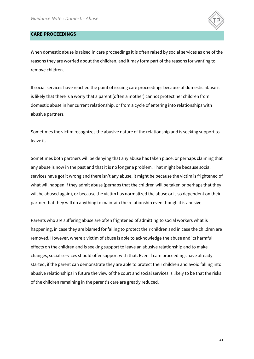

#### <span id="page-40-0"></span>**CARE PROCEEDINGS**

When domestic abuse is raised in care proceedings it is often raised by social services as one of the reasons they are worried about the children, and it may form part of the reasons for wanting to remove children.

If social services have reached the point of issuing care proceedings because of domestic abuse it is likely that there is a worry that a parent (often a mother) cannot protect her children from domestic abuse in her current relationship, or from a cycle of entering into relationships with abusive partners.

Sometimes the victim recognizes the abusive nature of the relationship and is seeking support to leave it.

Sometimes both partners will be denying that any abuse has taken place, or perhaps claiming that any abuse is now in the past and that it is no longer a problem. That might be because social services have got it wrong and there isn't any abuse, it might be because the victim is frightened of what will happen if they admit abuse (perhaps that the children will be taken or perhaps that they will be abused again), or because the victim has normalized the abuse or is so dependent on their partner that they will do anything to maintain the relationship even though it is abusive.

Parents who are suffering abuse are often frightened of admitting to social workers what is happening, in case they are blamed for failing to protect their children and in case the children are removed. However, where a victim of abuse is able to acknowledge the abuse and its harmful effects on the children and is seeking support to leave an abusive relationship and to make changes, social services should offer support with that. Even if care proceedings have already started, if the parent can demonstrate they are able to protect their children and avoid falling into abusive relationships in future the view of the court and social services is likely to be that the risks of the children remaining in the parent's care are greatly reduced.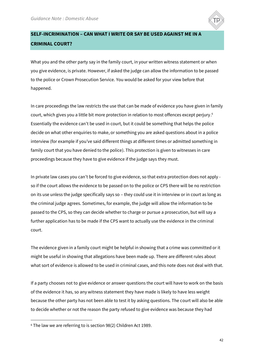

# <span id="page-41-0"></span>**SELF-INCRIMINATION – CAN WHAT I WRITE OR SAY BE USED AGAINST ME IN A CRIMINAL COURT?**

What you and the other party say in the family court, in your written witness statement or when you give evidence, is private. However, if asked the judge can allow the information to be passed to the police or Crown Prosecution Service. You would be asked for your view before that happened.

In care proceedings the law restricts the use that can be made of evidence you have given in family court, which gives you a little bit more protection in relation to most offences except perjury.<sup>6</sup> Essentially the evidence can't be used in court, but it could be something that helps the police decide on what other enquiries to make, or something you are asked questions about in a police interview (for example if you've said different things at different times or admitted something in family court that you have denied to the police). This protection is given to witnesses in care proceedings because they have to give evidence if the judge says they must.

In private law cases you can't be forced to give evidence, so that extra protection does not apply so if the court allows the evidence to be passed on to the police or CPS there will be no restriction on its use unless the judge specifically says so – they could use it in interview or in court as long as the criminal judge agrees. Sometimes, for example, the judge will allow the information to be passed to the CPS, so they can decide whether to charge or pursue a prosecution, but will say a further application has to be made if the CPS want to actually use the evidence in the criminal court.

The evidence given in a family court might be helpful in showing that a crime was committed or it might be useful in showing that allegations have been made up. There are different rules about what sort of evidence is allowed to be used in criminal cases, and this note does not deal with that.

If a party chooses not to give evidence or answer questions the court will have to work on the basis of the evidence it has, so any witness statement they have made is likely to have less weight because the other party has not been able to test it by asking questions. The court will also be able to decide whether or not the reason the party refused to give evidence was because they had

ׇ֬֒

<sup>6</sup> The law we are referring to is section 98(2) Children Act 1989.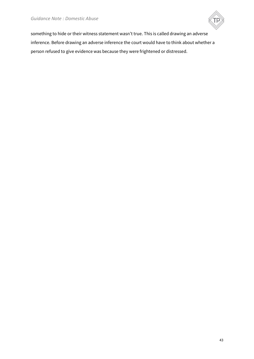

something to hide or their witness statement wasn't true. This is called drawing an adverse inference. Before drawing an adverse inference the court would have to think about whether a person refused to give evidence was because they were frightened or distressed.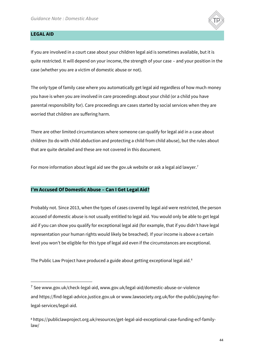<span id="page-43-0"></span>

ׇ֬֒



The only type of family case where you automatically get legal aid regardless of how much money you have is when you are involved in care proceedings about your child (or a child you have parental responsibility for). Care proceedings are cases started by social services when they are worried that children are suffering harm.

There are other limited circumstances where someone can qualify for legal aid in a case about children (to do with child abduction and protecting a child from child abuse), but the rules about that are quite detailed and these are not covered in this document.

For more information about legal aid see the gov.uk website or ask a legal aid lawyer.<sup>7</sup>

## <span id="page-43-1"></span>**I'm Accused Of Domestic Abuse – Can I Get Legal Aid?**

Probably not. Since 2013, when the types of cases covered by legal aid were restricted, the person accused of domestic abuse is not usually entitled to legal aid. You would only be able to get legal aid if you can show you qualify for exceptional legal aid (for example, that if you didn't have legal representation your human rights would likely be breached). If your income is above a certain level you won't be eligible for this type of legal aid even if the circumstances are exceptional.

The Public Law Project have produced a guide about getting exceptional legal aid.<sup>8</sup>

<sup>7</sup> See www.gov.uk/check-legal-aid, www.gov.uk/legal-aid/domestic-abuse-or-violence and https://find-legal-advice.justice.gov.uk or www.lawsociety.org.uk/for-the-public/paying-forlegal-services/legal-aid.

<sup>8</sup> https://publiclawproject.org.uk/resources/get-legal-aid-exceptional-case-funding-ecf-familylaw/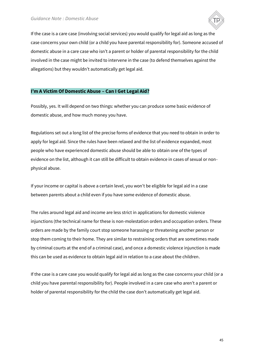

If the case is a care case (involving social services) you would qualify for legal aid as long as the case concerns your own child (or a child you have parental responsibility for). Someone accused of domestic abuse in a care case who isn't a parent or holder of parental responsibility for the child involved in the case might be invited to intervene in the case (to defend themselves against the allegations) but they wouldn't automatically get legal aid.

## <span id="page-44-0"></span>**I'm A Victim Of Domestic Abuse – Can I Get Legal Aid?**

Possibly, yes. It will depend on two things: whether you can produce some basic evidence of domestic abuse, and how much money you have.

Regulations set out a long list of the precise forms of evidence that you need to obtain in order to apply for legal aid. Since the rules have been relaxed and the list of evidence expanded, most people who have experienced domestic abuse should be able to obtain one of the types of evidence on the list, although it can still be difficult to obtain evidence in cases of sexual or nonphysical abuse.

If your income or capital is above a certain level, you won't be eligible for legal aid in a case between parents about a child even if you have some evidence of domestic abuse.

The rules around legal aid and income are less strict in applications for domestic violence injunctions (the technical name for these is non-molestation orders and occupation orders. These orders are made by the family court stop someone harassing or threatening another person or stop them coming to their home. They are similar to restraining orders that are sometimes made by criminal courts at the end of a criminal case), and once a domestic violence injunction is made this can be used as evidence to obtain legal aid in relation to a case about the children.

If the case is a care case you would qualify for legal aid as long as the case concerns your child (or a child you have parental responsibility for). People involved in a care case who aren't a parent or holder of parental responsibility for the child the case don't automatically get legal aid.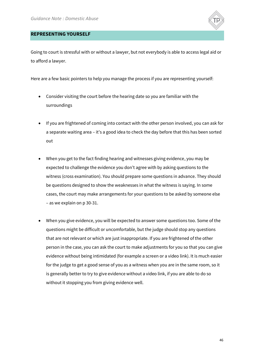

#### <span id="page-45-0"></span>**REPRESENTING YOURSELF**

Going to court is stressful with or without a lawyer, but not everybody is able to access legal aid or to afford a lawyer.

Here are a few basic pointers to help you manage the process if you are representing yourself:

- Consider visiting the court before the hearing date so you are familiar with the surroundings
- If you are frightened of coming into contact with the other person involved, you can ask for a separate waiting area – it's a good idea to check the day before that this has been sorted out
- When you get to the fact finding hearing and witnesses giving evidence, you may be expected to challenge the evidence you don't agree with by asking questions to the witness (cross examination). You should prepare some questions in advance. They should be questions designed to show the weaknesses in what the witness is saying. In some cases, the court may make arrangements for your questions to be asked by someone else – as we explain on p 30-31.
- When you give evidence, you will be expected to answer some questions too. Some of the questions might be difficult or uncomfortable, but the judge should stop any questions that are not relevant or which are just inappropriate. If you are frightened of the other person in the case, you can ask the court to make adjustments for you so that you can give evidence without being intimidated (for example a screen or a video link). It is much easier for the judge to get a good sense of you as a witness when you are in the same room, so it is generally better to try to give evidence without a video link, if you are able to do so without it stopping you from giving evidence well.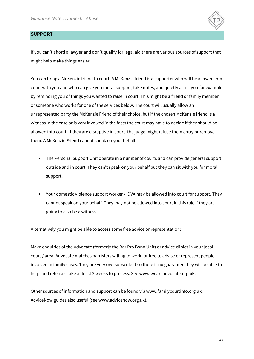

## <span id="page-46-0"></span>**SUPPORT**

If you can't afford a lawyer and don't qualify for legal aid there are various sources of support that might help make things easier.

You can bring a McKenzie friend to court. A McKenzie friend is a supporter who will be allowed into court with you and who can give you moral support, take notes, and quietly assist you for example by reminding you of things you wanted to raise in court. This might be a friend or family member or someone who works for one of the services below. The court will usually allow an unrepresented party the McKenzie Friend of their choice, but if the chosen McKenzie friend is a witness in the case or is very involved in the facts the court may have to decide if they should be allowed into court. If they are disruptive in court, the judge might refuse them entry or remove them. A McKenzie Friend cannot speak on your behalf.

- The Personal Support Unit operate in a number of courts and can provide general support outside and in court. They can't speak on your behalf but they can sit with you for moral support.
- Your domestic violence support worker / IDVA may be allowed into court for support. They cannot speak on your behalf. They may not be allowed into court in this role if they are going to also be a witness.

Alternatively you might be able to access some free advice or representation:

Make enquiries of the Advocate (formerly the Bar Pro Bono Unit) or advice clinics in your local court / area. Advocate matches barristers willing to work for free to advise or represent people involved in family cases. They are very oversubscribed so there is no guarantee they will be able to help, and referrals take at least 3 weeks to process. See www.weareadvocate.org.uk.

Other sources of information and support can be found via www.familycourtinfo.org.uk. AdviceNow guides also useful (see www.advicenow.org.uk).